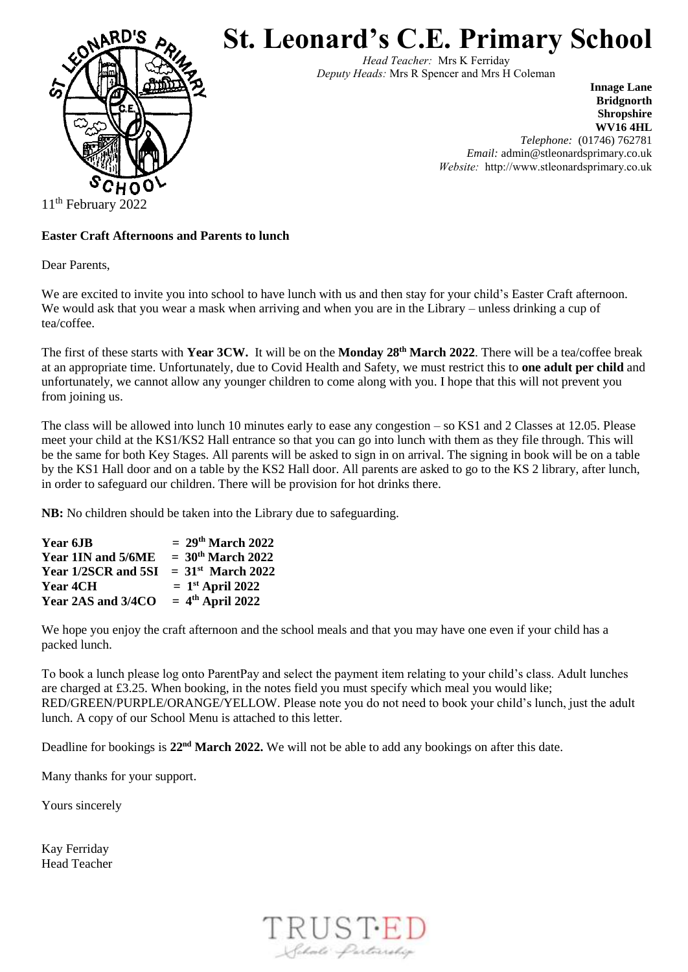

**St. Leonard's C.E. Primary School**

*Head Teacher:* Mrs K Ferriday *Deputy Heads:* Mrs R Spencer and Mrs H Coleman

> **Innage Lane Bridgnorth Shropshire WV16 4HL** *Telephone:* (01746) 762781 *Email:* admin@stleonardsprimary.co.uk *Website:* http://www.stleonardsprimary.co.uk

11<sup>th</sup> February 2022

## **Easter Craft Afternoons and Parents to lunch**

Dear Parents,

We are excited to invite you into school to have lunch with us and then stay for your child's Easter Craft afternoon. We would ask that you wear a mask when arriving and when you are in the Library – unless drinking a cup of tea/coffee.

The first of these starts with **Year 3CW.** It will be on the **Monday 28th March 2022**. There will be a tea/coffee break at an appropriate time. Unfortunately, due to Covid Health and Safety, we must restrict this to **one adult per child** and unfortunately, we cannot allow any younger children to come along with you. I hope that this will not prevent you from joining us.

The class will be allowed into lunch 10 minutes early to ease any congestion – so KS1 and 2 Classes at 12.05. Please meet your child at the KS1/KS2 Hall entrance so that you can go into lunch with them as they file through. This will be the same for both Key Stages. All parents will be asked to sign in on arrival. The signing in book will be on a table by the KS1 Hall door and on a table by the KS2 Hall door. All parents are asked to go to the KS 2 library, after lunch, in order to safeguard our children. There will be provision for hot drinks there.

**NB:** No children should be taken into the Library due to safeguarding.

| Year 6JB            | $= 29th March 2022$             |
|---------------------|---------------------------------|
| Year 1IN and 5/6ME  | $= 30th March 2022$             |
| Year 1/2SCR and 5SI | $= 31$ <sup>st</sup> March 2022 |
| <b>Year 4CH</b>     | $= 1st$ April 2022              |
| Year 2AS and 3/4CO  | $= 4th$ April 2022              |

We hope you enjoy the craft afternoon and the school meals and that you may have one even if your child has a packed lunch.

To book a lunch please log onto ParentPay and select the payment item relating to your child's class. Adult lunches are charged at £3.25. When booking, in the notes field you must specify which meal you would like; RED/GREEN/PURPLE/ORANGE/YELLOW. Please note you do not need to book your child's lunch, just the adult lunch. A copy of our School Menu is attached to this letter.

Deadline for bookings is **22nd March 2022.** We will not be able to add any bookings on after this date.

Many thanks for your support.

Yours sincerely

Kay Ferriday Head Teacher